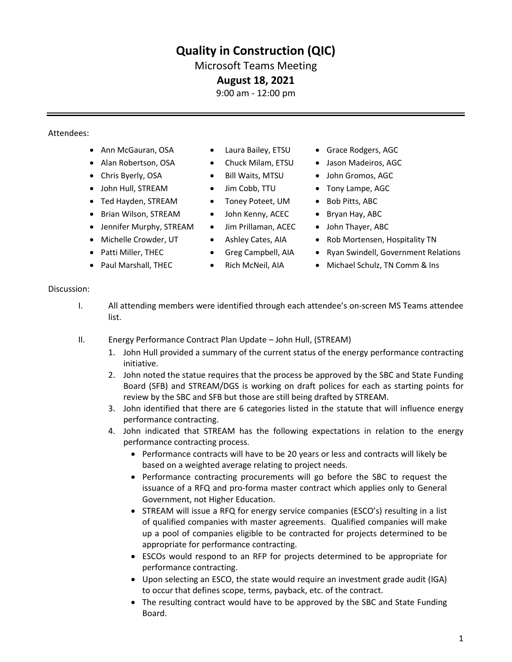# **Quality in Construction (QIC)**

### Microsoft Teams Meeting

### **August 18, 2021**

9:00 am - 12:00 pm

### Attendees:

- Ann McGauran, OSA Laura Bailey, ETSU Grace Rodgers, AGC
- 
- 
- John Hull, STREAM Jim Cobb, TTU Tony Lampe, AGC
- Ted Hayden, STREAM Toney Poteet, UM Bob Pitts, ABC
- Brian Wilson, STREAM
- Jennifer Murphy, STREAM
- Michelle Crowder, UT
- Patti Miller, THEC
- Paul Marshall, THEC
- 
- 
- 
- 
- 
- John Kenny, ACEC
- Jim Prillaman, ACEC
- Ashley Cates, AIA
- Greg Campbell, AIA
- Rich McNeil, AIA
- 
- Alan Robertson, OSA Chuck Milam, ETSU Jason Madeiros, AGC
- Chris Byerly, OSA Bill Waits, MTSU John Gromos, AGC
	-
	-
	- Bryan Hay, ABC
	- John Thayer, ABC
	- Rob Mortensen, Hospitality TN
	- Ryan Swindell, Government Relations
	- Michael Schulz, TN Comm & Ins

#### Discussion:

- I. All attending members were identified through each attendee's on-screen MS Teams attendee list.
- II. Energy Performance Contract Plan Update John Hull, (STREAM)
	- 1. John Hull provided a summary of the current status of the energy performance contracting initiative.
	- 2. John noted the statue requires that the process be approved by the SBC and State Funding Board (SFB) and STREAM/DGS is working on draft polices for each as starting points for review by the SBC and SFB but those are still being drafted by STREAM.
	- 3. John identified that there are 6 categories listed in the statute that will influence energy performance contracting.
	- 4. John indicated that STREAM has the following expectations in relation to the energy performance contracting process.
		- Performance contracts will have to be 20 years or less and contracts will likely be based on a weighted average relating to project needs.
		- Performance contracting procurements will go before the SBC to request the issuance of a RFQ and pro-forma master contract which applies only to General Government, not Higher Education.
		- STREAM will issue a RFQ for energy service companies (ESCO's) resulting in a list of qualified companies with master agreements. Qualified companies will make up a pool of companies eligible to be contracted for projects determined to be appropriate for performance contracting.
		- ESCOs would respond to an RFP for projects determined to be appropriate for performance contracting.
		- Upon selecting an ESCO, the state would require an investment grade audit (IGA) to occur that defines scope, terms, payback, etc. of the contract.
		- The resulting contract would have to be approved by the SBC and State Funding Board.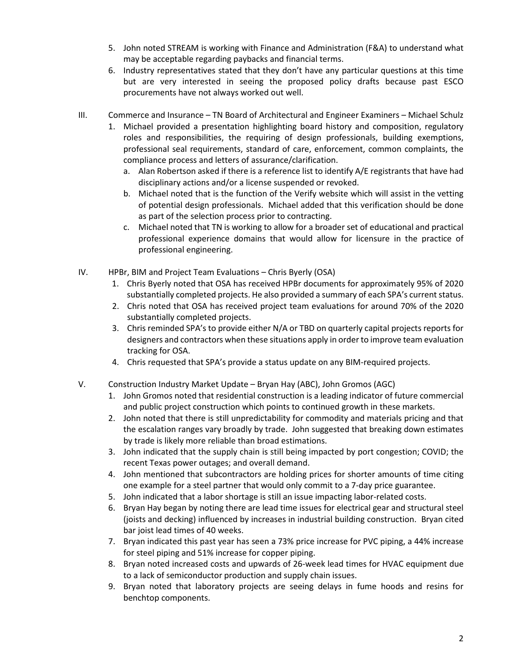- 5. John noted STREAM is working with Finance and Administration (F&A) to understand what may be acceptable regarding paybacks and financial terms.
- 6. Industry representatives stated that they don't have any particular questions at this time but are very interested in seeing the proposed policy drafts because past ESCO procurements have not always worked out well.
- III. Commerce and Insurance TN Board of Architectural and Engineer Examiners Michael Schulz
	- 1. Michael provided a presentation highlighting board history and composition, regulatory roles and responsibilities, the requiring of design professionals, building exemptions, professional seal requirements, standard of care, enforcement, common complaints, the compliance process and letters of assurance/clarification.
		- a. Alan Robertson asked if there is a reference list to identify A/E registrants that have had disciplinary actions and/or a license suspended or revoked.
		- b. Michael noted that is the function of the Verify website which will assist in the vetting of potential design professionals. Michael added that this verification should be done as part of the selection process prior to contracting.
		- c. Michael noted that TN is working to allow for a broader set of educational and practical professional experience domains that would allow for licensure in the practice of professional engineering.
- IV. HPBr, BIM and Project Team Evaluations Chris Byerly (OSA)
	- 1. Chris Byerly noted that OSA has received HPBr documents for approximately 95% of 2020 substantially completed projects. He also provided a summary of each SPA's current status.
	- 2. Chris noted that OSA has received project team evaluations for around 70% of the 2020 substantially completed projects.
	- 3. Chris reminded SPA's to provide either N/A or TBD on quarterly capital projects reports for designers and contractors when these situations apply in order to improve team evaluation tracking for OSA.
	- 4. Chris requested that SPA's provide a status update on any BIM-required projects.
- V. Construction Industry Market Update Bryan Hay (ABC), John Gromos (AGC)
	- 1. John Gromos noted that residential construction is a leading indicator of future commercial and public project construction which points to continued growth in these markets.
	- 2. John noted that there is still unpredictability for commodity and materials pricing and that the escalation ranges vary broadly by trade. John suggested that breaking down estimates by trade is likely more reliable than broad estimations.
	- 3. John indicated that the supply chain is still being impacted by port congestion; COVID; the recent Texas power outages; and overall demand.
	- 4. John mentioned that subcontractors are holding prices for shorter amounts of time citing one example for a steel partner that would only commit to a 7-day price guarantee.
	- 5. John indicated that a labor shortage is still an issue impacting labor-related costs.
	- 6. Bryan Hay began by noting there are lead time issues for electrical gear and structural steel (joists and decking) influenced by increases in industrial building construction. Bryan cited bar joist lead times of 40 weeks.
	- 7. Bryan indicated this past year has seen a 73% price increase for PVC piping, a 44% increase for steel piping and 51% increase for copper piping.
	- 8. Bryan noted increased costs and upwards of 26-week lead times for HVAC equipment due to a lack of semiconductor production and supply chain issues.
	- 9. Bryan noted that laboratory projects are seeing delays in fume hoods and resins for benchtop components.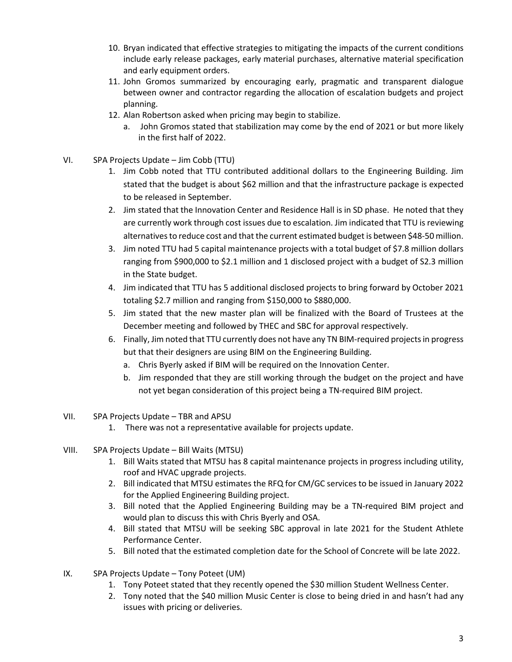- 10. Bryan indicated that effective strategies to mitigating the impacts of the current conditions include early release packages, early material purchases, alternative material specification and early equipment orders.
- 11. John Gromos summarized by encouraging early, pragmatic and transparent dialogue between owner and contractor regarding the allocation of escalation budgets and project planning.
- 12. Alan Robertson asked when pricing may begin to stabilize.
	- a. John Gromos stated that stabilization may come by the end of 2021 or but more likely in the first half of 2022.
- VI. SPA Projects Update Jim Cobb (TTU)
	- 1. Jim Cobb noted that TTU contributed additional dollars to the Engineering Building. Jim stated that the budget is about \$62 million and that the infrastructure package is expected to be released in September.
	- 2. Jim stated that the Innovation Center and Residence Hall is in SD phase. He noted that they are currently work through cost issues due to escalation. Jim indicated that TTU is reviewing alternatives to reduce cost and that the current estimated budget is between \$48-50 million.
	- 3. Jim noted TTU had 5 capital maintenance projects with a total budget of \$7.8 million dollars ranging from \$900,000 to \$2.1 million and 1 disclosed project with a budget of S2.3 million in the State budget.
	- 4. Jim indicated that TTU has 5 additional disclosed projects to bring forward by October 2021 totaling \$2.7 million and ranging from \$150,000 to \$880,000.
	- 5. Jim stated that the new master plan will be finalized with the Board of Trustees at the December meeting and followed by THEC and SBC for approval respectively.
	- 6. Finally, Jim noted that TTU currently does not have any TN BIM-required projects in progress but that their designers are using BIM on the Engineering Building.
		- a. Chris Byerly asked if BIM will be required on the Innovation Center.
		- b. Jim responded that they are still working through the budget on the project and have not yet began consideration of this project being a TN-required BIM project.
- VII. SPA Projects Update TBR and APSU
	- 1. There was not a representative available for projects update.
- VIII. SPA Projects Update Bill Waits (MTSU)
	- 1. Bill Waits stated that MTSU has 8 capital maintenance projects in progress including utility, roof and HVAC upgrade projects.
	- 2. Bill indicated that MTSU estimates the RFQ for CM/GC services to be issued in January 2022 for the Applied Engineering Building project.
	- 3. Bill noted that the Applied Engineering Building may be a TN-required BIM project and would plan to discuss this with Chris Byerly and OSA.
	- 4. Bill stated that MTSU will be seeking SBC approval in late 2021 for the Student Athlete Performance Center.
	- 5. Bill noted that the estimated completion date for the School of Concrete will be late 2022.
- IX. SPA Projects Update Tony Poteet (UM)
	- 1. Tony Poteet stated that they recently opened the \$30 million Student Wellness Center.
	- 2. Tony noted that the \$40 million Music Center is close to being dried in and hasn't had any issues with pricing or deliveries.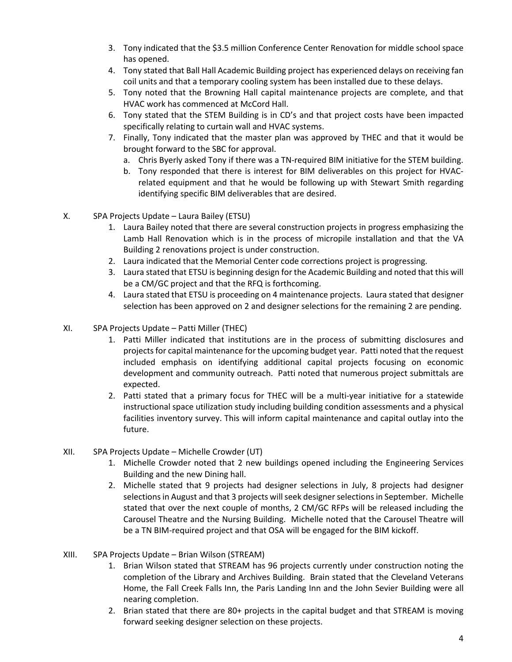- 3. Tony indicated that the \$3.5 million Conference Center Renovation for middle school space has opened.
- 4. Tony stated that Ball Hall Academic Building project has experienced delays on receiving fan coil units and that a temporary cooling system has been installed due to these delays.
- 5. Tony noted that the Browning Hall capital maintenance projects are complete, and that HVAC work has commenced at McCord Hall.
- 6. Tony stated that the STEM Building is in CD's and that project costs have been impacted specifically relating to curtain wall and HVAC systems.
- 7. Finally, Tony indicated that the master plan was approved by THEC and that it would be brought forward to the SBC for approval.
	- a. Chris Byerly asked Tony if there was a TN-required BIM initiative for the STEM building.
	- b. Tony responded that there is interest for BIM deliverables on this project for HVACrelated equipment and that he would be following up with Stewart Smith regarding identifying specific BIM deliverables that are desired.
- X. SPA Projects Update Laura Bailey (ETSU)
	- 1. Laura Bailey noted that there are several construction projects in progress emphasizing the Lamb Hall Renovation which is in the process of micropile installation and that the VA Building 2 renovations project is under construction.
	- 2. Laura indicated that the Memorial Center code corrections project is progressing.
	- 3. Laura stated that ETSU is beginning design for the Academic Building and noted that this will be a CM/GC project and that the RFQ is forthcoming.
	- 4. Laura stated that ETSU is proceeding on 4 maintenance projects. Laura stated that designer selection has been approved on 2 and designer selections for the remaining 2 are pending.
- XI. SPA Projects Update Patti Miller (THEC)
	- 1. Patti Miller indicated that institutions are in the process of submitting disclosures and projects for capital maintenance for the upcoming budget year. Patti noted that the request included emphasis on identifying additional capital projects focusing on economic development and community outreach. Patti noted that numerous project submittals are expected.
	- 2. Patti stated that a primary focus for THEC will be a multi-year initiative for a statewide instructional space utilization study including building condition assessments and a physical facilities inventory survey. This will inform capital maintenance and capital outlay into the future.
- XII. SPA Projects Update Michelle Crowder (UT)
	- 1. Michelle Crowder noted that 2 new buildings opened including the Engineering Services Building and the new Dining hall.
	- 2. Michelle stated that 9 projects had designer selections in July, 8 projects had designer selections in August and that 3 projects will seek designer selections in September. Michelle stated that over the next couple of months, 2 CM/GC RFPs will be released including the Carousel Theatre and the Nursing Building. Michelle noted that the Carousel Theatre will be a TN BIM-required project and that OSA will be engaged for the BIM kickoff.
- XIII. SPA Projects Update Brian Wilson (STREAM)
	- 1. Brian Wilson stated that STREAM has 96 projects currently under construction noting the completion of the Library and Archives Building. Brain stated that the Cleveland Veterans Home, the Fall Creek Falls Inn, the Paris Landing Inn and the John Sevier Building were all nearing completion.
	- 2. Brian stated that there are 80+ projects in the capital budget and that STREAM is moving forward seeking designer selection on these projects.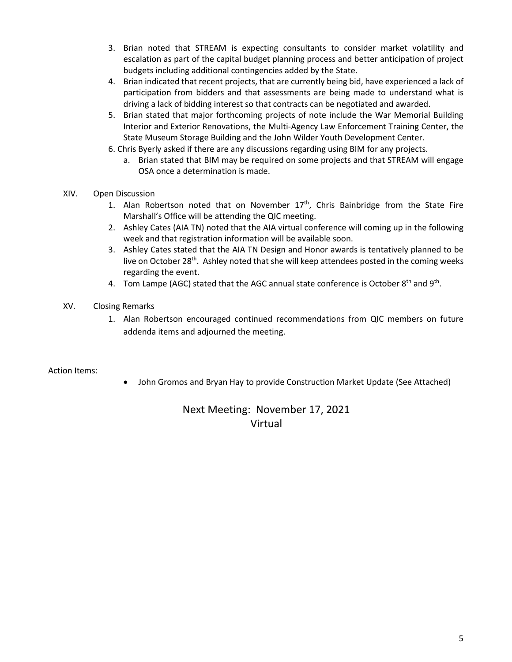- 3. Brian noted that STREAM is expecting consultants to consider market volatility and escalation as part of the capital budget planning process and better anticipation of project budgets including additional contingencies added by the State.
- 4. Brian indicated that recent projects, that are currently being bid, have experienced a lack of participation from bidders and that assessments are being made to understand what is driving a lack of bidding interest so that contracts can be negotiated and awarded.
- 5. Brian stated that major forthcoming projects of note include the War Memorial Building Interior and Exterior Renovations, the Multi-Agency Law Enforcement Training Center, the State Museum Storage Building and the John Wilder Youth Development Center.
- 6. Chris Byerly asked if there are any discussions regarding using BIM for any projects.
	- a. Brian stated that BIM may be required on some projects and that STREAM will engage OSA once a determination is made.
- XIV. Open Discussion
	- 1. Alan Robertson noted that on November  $17<sup>th</sup>$ , Chris Bainbridge from the State Fire Marshall's Office will be attending the QIC meeting.
	- 2. Ashley Cates (AIA TN) noted that the AIA virtual conference will coming up in the following week and that registration information will be available soon.
	- 3. Ashley Cates stated that the AIA TN Design and Honor awards is tentatively planned to be live on October 28<sup>th</sup>. Ashley noted that she will keep attendees posted in the coming weeks regarding the event.
	- 4. Tom Lampe (AGC) stated that the AGC annual state conference is October 8<sup>th</sup> and 9<sup>th</sup>.
- XV. Closing Remarks
	- 1. Alan Robertson encouraged continued recommendations from QIC members on future addenda items and adjourned the meeting.

### Action Items:

• John Gromos and Bryan Hay to provide Construction Market Update (See Attached)

## Next Meeting: November 17, 2021 Virtual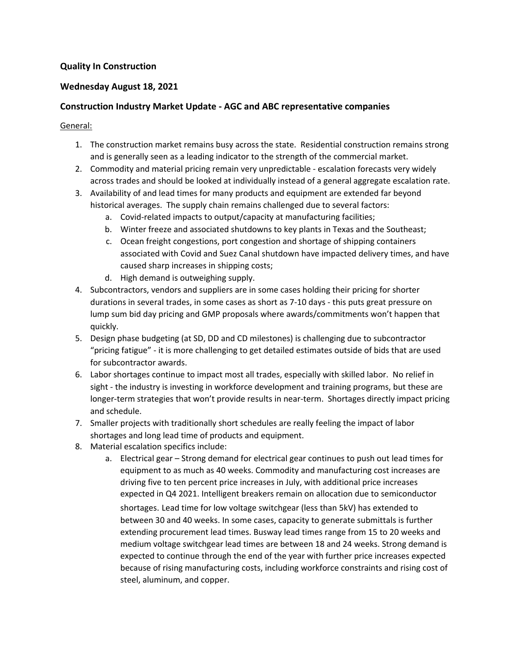### **Quality In Construction**

### **Wednesday August 18, 2021**

### **Construction Industry Market Update - AGC and ABC representative companies**

#### General:

- 1. The construction market remains busy across the state. Residential construction remains strong and is generally seen as a leading indicator to the strength of the commercial market.
- 2. Commodity and material pricing remain very unpredictable escalation forecasts very widely across trades and should be looked at individually instead of a general aggregate escalation rate.
- 3. Availability of and lead times for many products and equipment are extended far beyond historical averages. The supply chain remains challenged due to several factors:
	- a. Covid-related impacts to output/capacity at manufacturing facilities;
	- b. Winter freeze and associated shutdowns to key plants in Texas and the Southeast;
	- c. Ocean freight congestions, port congestion and shortage of shipping containers associated with Covid and Suez Canal shutdown have impacted delivery times, and have caused sharp increases in shipping costs;
	- d. High demand is outweighing supply.
- 4. Subcontractors, vendors and suppliers are in some cases holding their pricing for shorter durations in several trades, in some cases as short as 7-10 days - this puts great pressure on lump sum bid day pricing and GMP proposals where awards/commitments won't happen that quickly.
- 5. Design phase budgeting (at SD, DD and CD milestones) is challenging due to subcontractor "pricing fatigue" - it is more challenging to get detailed estimates outside of bids that are used for subcontractor awards.
- 6. Labor shortages continue to impact most all trades, especially with skilled labor. No relief in sight - the industry is investing in workforce development and training programs, but these are longer-term strategies that won't provide results in near-term. Shortages directly impact pricing and schedule.
- 7. Smaller projects with traditionally short schedules are really feeling the impact of labor shortages and long lead time of products and equipment.
- 8. Material escalation specifics include:
	- a. Electrical gear Strong demand for electrical gear continues to push out lead times for equipment to as much as 40 weeks. Commodity and manufacturing cost increases are driving five to ten percent price increases in July, with additional price increases expected in Q4 2021. Intelligent breakers remain on allocation due to semiconductor shortages. Lead time for low voltage switchgear (less than 5kV) has extended to between 30 and 40 weeks. In some cases, capacity to generate submittals is further extending procurement lead times. Busway lead times range from 15 to 20 weeks and medium voltage switchgear lead times are between 18 and 24 weeks. Strong demand is expected to continue through the end of the year with further price increases expected because of rising manufacturing costs, including workforce constraints and rising cost of steel, aluminum, and copper.